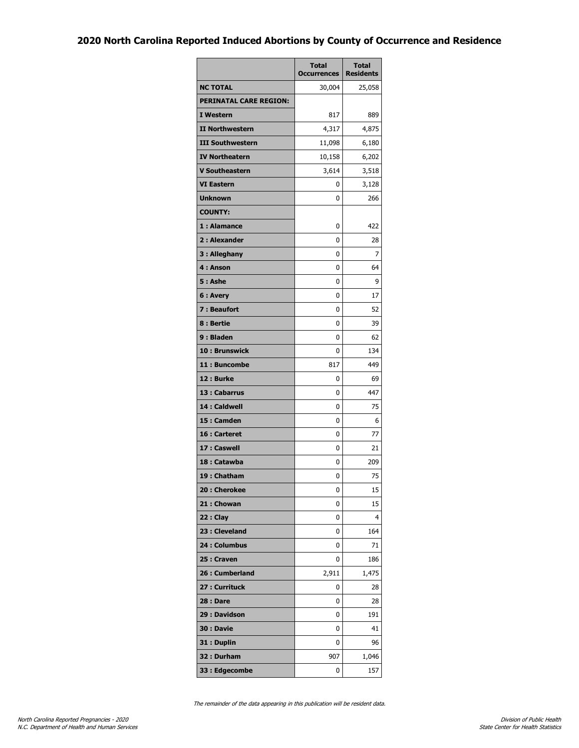## **2020 North Carolina Reported Induced Abortions by County of Occurrence and Residence**

|                               | <b>Total</b><br><b>Occurrences</b> | <b>Total</b><br><b>Residents</b> |
|-------------------------------|------------------------------------|----------------------------------|
| <b>NC TOTAL</b>               | 30,004                             | 25,058                           |
| <b>PERINATAL CARE REGION:</b> |                                    |                                  |
| I Western                     | 817                                | 889                              |
| <b>II Northwestern</b>        | 4,317                              | 4,875                            |
| <b>III Southwestern</b>       | 11,098                             | 6,180                            |
| <b>IV Northeatern</b>         | 10,158                             | 6,202                            |
| <b>V Southeastern</b>         | 3,614                              | 3,518                            |
| <b>VI Eastern</b>             | 0                                  | 3,128                            |
| <b>Unknown</b>                | 0                                  | 266                              |
| <b>COUNTY:</b>                |                                    |                                  |
| 1: Alamance                   | 0                                  | 422                              |
| 2: Alexander                  | 0                                  | 28                               |
| 3 : Alleghany                 | 0                                  | 7                                |
| 4 : Anson                     | 0                                  | 64                               |
| 5: Ashe                       | 0                                  | 9                                |
| 6 : Avery                     | 0                                  | 17                               |
| 7 : Beaufort                  | 0                                  | 52                               |
| 8 : Bertie                    | 0                                  | 39                               |
| 9 : Bladen                    | 0                                  | 62                               |
| 10: Brunswick                 | 0                                  | 134                              |
| 11: Buncombe                  | 817                                | 449                              |
| 12: Burke                     | 0                                  | 69                               |
| 13 : Cabarrus                 | 0                                  | 447                              |
| 14 : Caldwell                 | 0                                  | 75                               |
| 15 : Camden                   | 0                                  | 6                                |
| 16 : Carteret                 | 0                                  | 77                               |
| 17 : Caswell                  | 0                                  | 21                               |
| 18 : Catawba                  | 0                                  | 209                              |
| 19 : Chatham                  | 0                                  | 75                               |
| 20: Cherokee                  | 0                                  | 15                               |
| 21: Chowan                    | 0                                  | 15                               |
| 22 : Clay                     | 0                                  | 4                                |
| 23 : Cleveland                | 0                                  | 164                              |
| 24 : Columbus                 | 0                                  | 71                               |
| 25 : Craven                   | 0                                  | 186                              |
| 26 : Cumberland               | 2,911                              | 1,475                            |
| 27 : Currituck                | 0                                  | 28                               |
| <b>28 : Dare</b>              | 0                                  | 28                               |
| 29 : Davidson                 | 0                                  | 191                              |
| 30 : Davie                    | 0                                  | 41                               |
| 31 : Duplin                   | 0                                  | 96                               |
| 32: Durham                    | 907                                | 1,046                            |
| 33 : Edgecombe                | 0                                  | 157                              |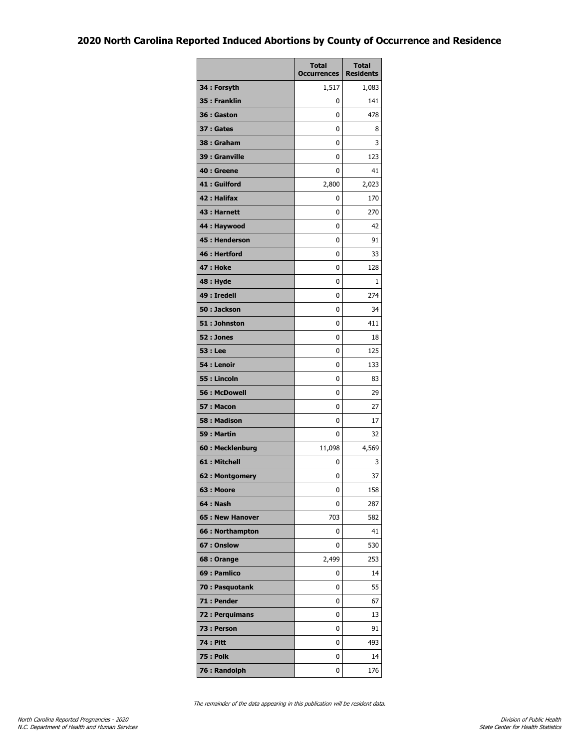## **2020 North Carolina Reported Induced Abortions by County of Occurrence and Residence**

|                        | <b>Total</b><br><b>Occurrences</b> | <b>Total</b><br><b>Residents</b> |
|------------------------|------------------------------------|----------------------------------|
| 34 : Forsyth           | 1,517                              | 1,083                            |
| 35 : Franklin          | 0                                  | 141                              |
| 36 : Gaston            | 0                                  | 478                              |
| 37 : Gates             | 0                                  | 8                                |
| 38 : Graham            | 0                                  | 3                                |
| 39 : Granville         | 0                                  | 123                              |
| 40 : Greene            | 0                                  | 41                               |
| 41 : Guilford          | 2,800                              | 2,023                            |
| 42 : Halifax           | 0                                  | 170                              |
| 43 : Harnett           | 0                                  | 270                              |
| 44 : Haywood           | 0                                  | 42                               |
| 45 : Henderson         | 0                                  | 91                               |
| 46 : Hertford          | 0                                  | 33                               |
| 47 : Hoke              | 0                                  | 128                              |
| 48 : Hyde              | 0                                  | 1                                |
| 49 : Iredell           | 0                                  | 274                              |
| 50 : Jackson           | 0                                  | 34                               |
| 51: Johnston           | 0                                  | 411                              |
| 52: Jones              | 0                                  | 18                               |
| 53 : Lee               | 0                                  | 125                              |
| 54 : Lenoir            | 0                                  | 133                              |
| 55 : Lincoln           | 0                                  | 83                               |
| 56 : McDowell          | 0                                  | 29                               |
| 57: Macon              | 0                                  | 27                               |
| 58 : Madison           | 0                                  | 17                               |
| 59 : Martin            | 0                                  | 32                               |
| 60 : Mecklenburg       | 11,098                             | 4,569                            |
| 61 : Mitchell          | 0                                  | 3                                |
| 62 : Montgomery        | 0                                  | 37                               |
| 63 : Moore             | 0                                  | 158                              |
| <b>64 : Nash</b>       | 0                                  | 287                              |
| <b>65: New Hanover</b> | 703                                | 582                              |
| 66 : Northampton       | 0                                  | 41                               |
| 67 : Onslow            | 0                                  | 530                              |
| 68 : Orange            | 2,499                              | 253                              |
| 69 : Pamlico           | 0                                  | 14                               |
| 70 : Pasquotank        | 0                                  | 55                               |
| 71 : Pender            | 0                                  | 67                               |
| 72 : Perquimans        | 0                                  | 13                               |
| 73 : Person            | 0                                  | 91                               |
| 74 : Pitt              | 0                                  | 493                              |
| <b>75 : Polk</b>       | 0                                  | 14                               |
| 76 : Randolph          | 0                                  | 176                              |